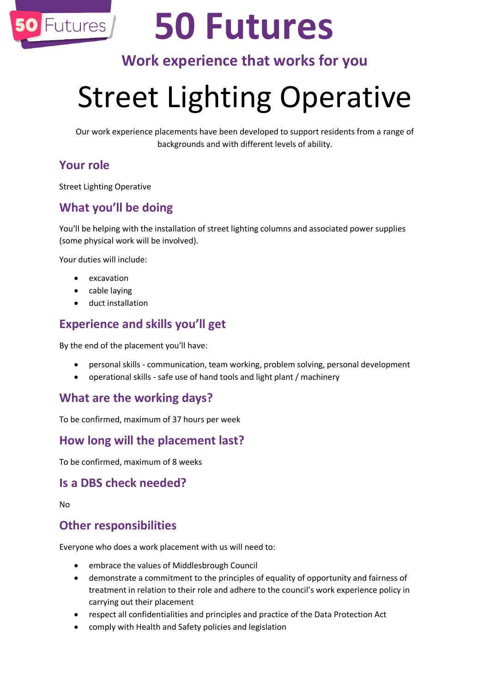

# **50 Futures**

### **Work experience that works for you**

## Street Lighting Operative

Our work experience placements have been developed to support residents from a range of backgrounds and with different levels of ability.

#### **Your role**

Street Lighting Operative

#### **What you'll be doing**

You'll be helping with the installation of street lighting columns and associated power supplies (some physical work will be involved).

Your duties will include:

- excavation
- cable laying
- duct installation

#### **Experience and skills you'll get**

By the end of the placement you'll have:

- personal skills communication, team working, problem solving, personal development
- operational skills safe use of hand tools and light plant / machinery

#### **What are the working days?**

To be confirmed, maximum of 37 hours per week

#### **How long will the placement last?**

To be confirmed, maximum of 8 weeks

#### **Is a DBS check needed?**

No

#### **Other responsibilities**

Everyone who does a work placement with us will need to:

- embrace the values of Middlesbrough Council
- demonstrate a commitment to the principles of equality of opportunity and fairness of treatment in relation to their role and adhere to the council's work experience policy in carrying out their placement
- respect all confidentialities and principles and practice of the Data Protection Act
- comply with Health and Safety policies and legislation